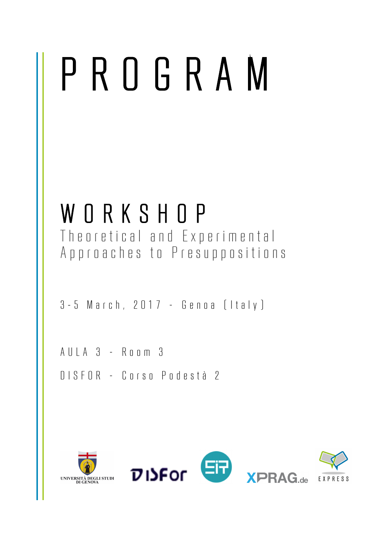## PROGRAM

WORKSHOP<br>Theoretical and Experimental Approaches to Presuppositions

3 - 5 March, 2017 – Genoa (Italy)

AULA 3 – Room 3

DISFOR – Corso Podestà 2

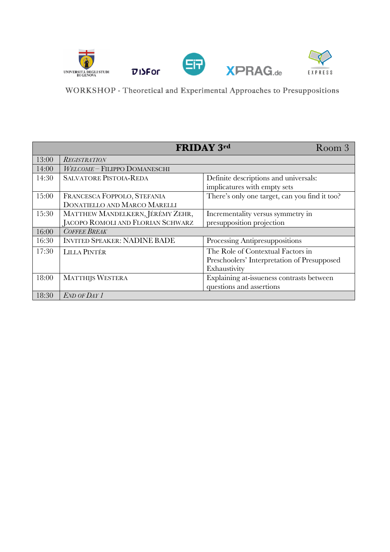

WORKSHOP - Theoretical and Experimental Approaches to Presuppositions

|       |                                     | <b>FRIDAY 3rd</b><br>Room 3                   |
|-------|-------------------------------------|-----------------------------------------------|
| 13:00 | <b>REGISTRATION</b>                 |                                               |
| 14:00 | WELCOME - FILIPPO DOMANESCHI        |                                               |
| 14:30 | <b>SALVATORE PISTOIA-REDA</b>       | Definite descriptions and universals:         |
|       |                                     | implicatures with empty sets                  |
| 15:00 | FRANCESCA FOPPOLO, STEFANIA         | There's only one target, can you find it too? |
|       | DONATIELLO AND MARCO MARELLI        |                                               |
| 15:30 | MATTHEW MANDELKERN, JÉRÉMY ZEHR,    | Incrementality versus symmetry in             |
|       | JACOPO ROMOLI AND FLORIAN SCHWARZ   | presupposition projection                     |
| 16:00 | <b>COFFEE BREAK</b>                 |                                               |
| 16:30 | <b>INVITED SPEAKER: NADINE BADE</b> | Processing Antipresuppositions                |
| 17:30 | <b>LILLA PINTÉR</b>                 | The Role of Contextual Factors in             |
|       |                                     | Preschoolers' Interpretation of Presupposed   |
|       |                                     | Exhaustivity                                  |
| 18:00 | <b>MATTHIJS WESTERA</b>             | Explaining at-issueness contrasts between     |
|       |                                     | questions and assertions                      |
| 18:30 | END OF DAY 1                        |                                               |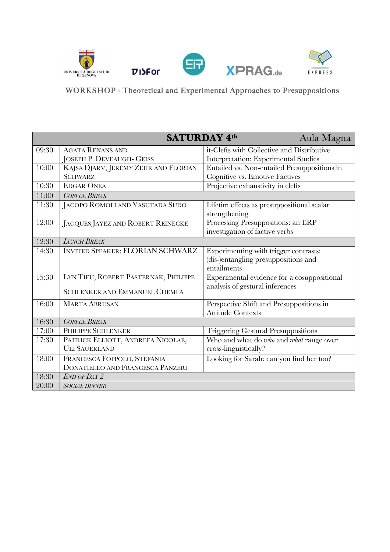

WORKSHOP - Theoretical and Experimental Approaches to Presuppositions

| SATURDAY 4th<br>Aula Magna |                                         |                                              |  |  |
|----------------------------|-----------------------------------------|----------------------------------------------|--|--|
| 09:30                      | <b>AGATA RENANS AND</b>                 | it-Clefts with Collective and Distributive   |  |  |
|                            | <b>JOSEPH P. DEVEAUGH- GEISS</b>        | Interpretation: Experimental Studies         |  |  |
| 10:00                      | KAJSA DJARV, JÉRÉMY ZEHR AND FLORIAN    | Entailed vs. Non-entailed Presuppositions in |  |  |
|                            | <b>SCHWARZ</b>                          | Cognitive vs. Emotive Factives               |  |  |
| 10:30                      | <b>EDGAR ONEA</b>                       | Projective exhaustivity in clefts            |  |  |
| 11:00                      | <b>COFFEE BREAK</b>                     |                                              |  |  |
| 11:30                      | JACOPO ROMOLI AND YASUTADA SUDO         | Lifetim effects as presuppositional scalar   |  |  |
|                            |                                         | strengthening                                |  |  |
| 12:00                      | JACQUES JAYEZ AND ROBERT REINECKE       | Processing Presuppositions: an ERP           |  |  |
|                            |                                         | investigation of factive verbs               |  |  |
| 12:30                      | LUNCH BREAK                             |                                              |  |  |
| 14:30                      | <b>INVITED SPEAKER: FLORIAN SCHWARZ</b> | Experimenting with trigger contrasts:        |  |  |
|                            |                                         | (dis-)entangling presuppositions and         |  |  |
|                            |                                         | entailments                                  |  |  |
| 15:30                      | LYN TIEU, ROBERT PASTERNAK, PHILIPPE    | Experimental evidence for a cosuppositional  |  |  |
|                            | <b>SCHLENKER AND EMMANUEL CHEMLA</b>    | analysis of gestural inferences              |  |  |
|                            |                                         |                                              |  |  |
| 16:00                      | <b>MARTA ABRUSAN</b>                    | Perspective Shift and Presuppositions in     |  |  |
|                            |                                         | <b>Attitude Contexts</b>                     |  |  |
| 16:30                      | <b>COFFEE BREAK</b>                     |                                              |  |  |
| 17:00                      | PHILIPPE SCHLENKER                      | <b>Triggering Gestural Presuppositions</b>   |  |  |
| 17:30                      | PATRICK ELLIOTT, ANDREEA NICOLAE,       | Who and what do who and what range over      |  |  |
|                            | <b>ULI SAUERLAND</b>                    | cross-linguistically?                        |  |  |
| 18:00                      | FRANCESCA FOPPOLO, STEFANIA             | Looking for Sarah: can you find her too?     |  |  |
|                            | DONATIELLO AND FRANCESCA PANZERI        |                                              |  |  |
| 18:30                      | END OF DAY 2                            |                                              |  |  |
| 20:00                      | <i>SOCIAL DINNER</i>                    |                                              |  |  |